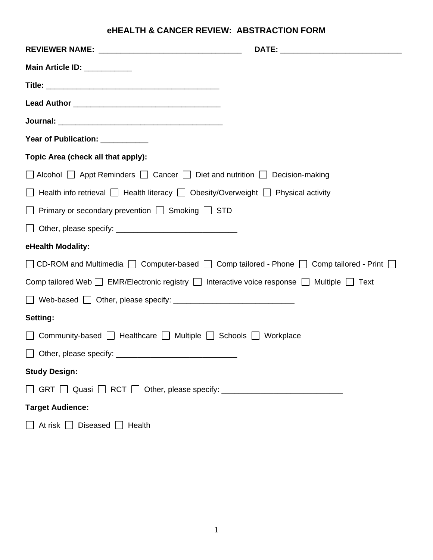# **eHEALTH & CANCER REVIEW: ABSTRACTION FORM**

| <b>Main Article ID: ___________</b>                                                                            |  |
|----------------------------------------------------------------------------------------------------------------|--|
|                                                                                                                |  |
|                                                                                                                |  |
|                                                                                                                |  |
| Year of Publication: __________                                                                                |  |
| Topic Area (check all that apply):                                                                             |  |
| Alcohol Appt Reminders Cancer Diet and nutrition Decision-making                                               |  |
| Health info retrieval $\Box$ Health literacy $\Box$ Obesity/Overweight $\Box$ Physical activity                |  |
| Primary or secondary prevention $\Box$ Smoking $\Box$ STD                                                      |  |
| $\Box$                                                                                                         |  |
| eHealth Modality:                                                                                              |  |
| □ CD-ROM and Multimedia □ Computer-based □ Comp tailored - Phone □ Comp tailored - Print □                     |  |
| Comp tailored Web $\Box$ EMR/Electronic registry $\Box$ Interactive voice response $\Box$ Multiple $\Box$ Text |  |
|                                                                                                                |  |
| Setting:                                                                                                       |  |
| Community-based   Healthcare   Multiple   Schools   Workplace                                                  |  |
|                                                                                                                |  |
| <b>Study Design:</b>                                                                                           |  |
|                                                                                                                |  |
| <b>Target Audience:</b>                                                                                        |  |
| Diseased $\Box$ Health<br>At risk $\Box$                                                                       |  |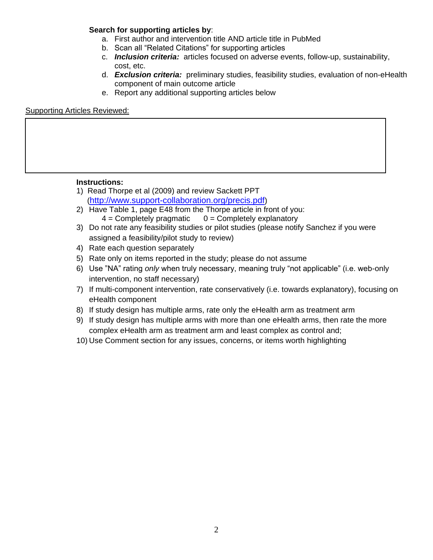#### **Search for supporting articles by**:

- a. First author and intervention title AND article title in PubMed
- b. Scan all "Related Citations" for supporting articles
- c. *Inclusion criteria:* articles focused on adverse events, follow-up, sustainability, cost, etc.
- d. *Exclusion criteria:* preliminary studies, feasibility studies, evaluation of non-eHealth component of main outcome article
- e. Report any additional supporting articles below

#### Supporting Articles Reviewed:

#### **Instructions:**

- 1) Read Thorpe et al (2009) and review Sackett PPT (<http://www.support-collaboration.org/precis.pdf>)
- 2) Have Table 1, page E48 from the Thorpe article in front of you:  $4 =$  Completely pragmatic  $0 =$  Completely explanatory
- 3) Do not rate any feasibility studies or pilot studies (please notify Sanchez if you were assigned a feasibility/pilot study to review)
- 4) Rate each question separately
- 5) Rate only on items reported in the study; please do not assume
- 6) Use "NA" rating *only* when truly necessary, meaning truly "not applicable" (i.e. web-only intervention, no staff necessary)
- 7) If multi-component intervention, rate conservatively (i.e. towards explanatory), focusing on eHealth component
- 8) If study design has multiple arms, rate only the eHealth arm as treatment arm
- 9) If study design has multiple arms with more than one eHealth arms, then rate the more complex eHealth arm as treatment arm and least complex as control and;
- 10) Use Comment section for any issues, concerns, or items worth highlighting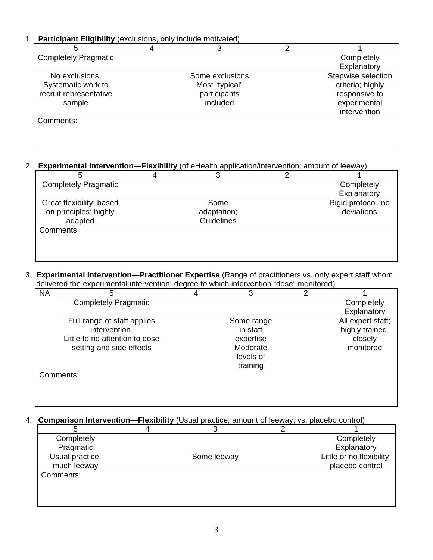### 1. **Participant Eligibility** (exclusions, only include motivated)

| .                           | 4 | 3               | າ |                    |
|-----------------------------|---|-----------------|---|--------------------|
| <b>Completely Pragmatic</b> |   |                 |   | Completely         |
|                             |   |                 |   | Explanatory        |
| No exclusions.              |   | Some exclusions |   | Stepwise selection |
| Systematic work to          |   | Most "typical"  |   | criteria; highly   |
| recruit representative      |   | participants    |   | responsive to      |
| sample                      |   | included        |   | experimental       |
|                             |   |                 |   | intervention       |
| Comments:                   |   |                 |   |                    |
|                             |   |                 |   |                    |
|                             |   |                 |   |                    |
|                             |   |                 |   |                    |

## 2. **Experimental Intervention—Flexibility** (of eHealth application/intervention; amount of leeway)

| <b>Completely Pragmatic</b> |                   | Completely         |
|-----------------------------|-------------------|--------------------|
|                             |                   | Explanatory        |
| Great flexibility; based    | Some              | Rigid protocol, no |
| on principles; highly       | adaptation;       | deviations         |
| adapted                     | <b>Guidelines</b> |                    |
| Comments:                   |                   |                    |
|                             |                   |                    |
|                             |                   |                    |
|                             |                   |                    |

#### 3. **Experimental Intervention—Practitioner Expertise** (Range of practitioners vs. only expert staff whom delivered the experimental intervention; degree to which intervention "dose" monitored)

| <b>NA</b> | 5                              | 3          | 2 |                   |
|-----------|--------------------------------|------------|---|-------------------|
|           | <b>Completely Pragmatic</b>    |            |   | Completely        |
|           |                                |            |   | Explanatory       |
|           | Full range of staff applies    | Some range |   | All expert staff; |
|           | intervention.                  | in staff   |   | highly trained,   |
|           | Little to no attention to dose | expertise  |   | closely           |
|           | setting and side effects       | Moderate   |   | monitored         |
|           |                                | levels of  |   |                   |
|           |                                | training   |   |                   |
|           | Comments:                      |            |   |                   |
|           |                                |            |   |                   |
|           |                                |            |   |                   |

#### 4. **Comparison Intervention—Flexibility** (Usual practice; amount of leeway; vs. placebo control)

| Completely      |             | Completely                |
|-----------------|-------------|---------------------------|
| Pragmatic       |             | Explanatory               |
| Usual practice, | Some leeway | Little or no flexibility; |
| much leeway     |             | placebo control           |
| Comments:       |             |                           |
|                 |             |                           |
|                 |             |                           |
|                 |             |                           |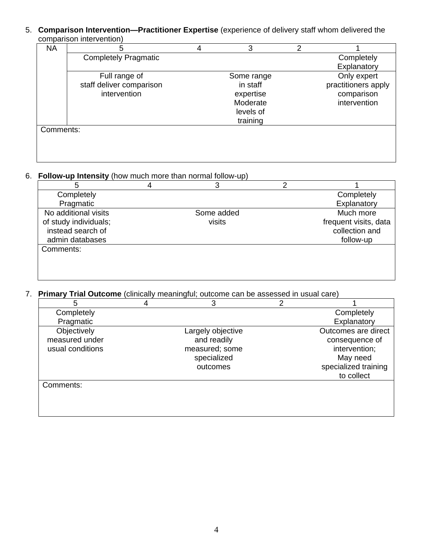#### 5. **Comparison Intervention—Practitioner Expertise** (experience of delivery staff whom delivered the comparison intervention)

| <b>NA</b> | 5                           | 4 | 3          | っ |                     |
|-----------|-----------------------------|---|------------|---|---------------------|
|           | <b>Completely Pragmatic</b> |   |            |   | Completely          |
|           |                             |   |            |   | Explanatory         |
|           | Full range of               |   | Some range |   | Only expert         |
|           | staff deliver comparison    |   | in staff   |   | practitioners apply |
|           | intervention                |   | expertise  |   | comparison          |
|           |                             |   | Moderate   |   | intervention        |
|           |                             |   | levels of  |   |                     |
|           |                             |   | training   |   |                     |
| Comments: |                             |   |            |   |                     |
|           |                             |   |            |   |                     |
|           |                             |   |            |   |                     |
|           |                             |   |            |   |                     |

#### 6. **Follow-up Intensity** (how much more than normal follow-up)

| 5                     |            |                       |
|-----------------------|------------|-----------------------|
| Completely            |            | Completely            |
| Pragmatic             |            | Explanatory           |
| No additional visits  | Some added | Much more             |
| of study individuals; | visits     | frequent visits, data |
| instead search of     |            | collection and        |
| admin databases       |            | follow-up             |
| Comments:             |            |                       |
|                       |            |                       |
|                       |            |                       |
|                       |            |                       |

# 7. **Primary Trial Outcome** (clinically meaningful; outcome can be assessed in usual care)

| 5                | 3                 | ◠ |                      |
|------------------|-------------------|---|----------------------|
| Completely       |                   |   | Completely           |
| Pragmatic        |                   |   | Explanatory          |
| Objectively      | Largely objective |   | Outcomes are direct  |
| measured under   | and readily       |   | consequence of       |
| usual conditions | measured; some    |   | intervention;        |
|                  | specialized       |   | May need             |
|                  | outcomes          |   | specialized training |
|                  |                   |   | to collect           |
| Comments:        |                   |   |                      |
|                  |                   |   |                      |
|                  |                   |   |                      |
|                  |                   |   |                      |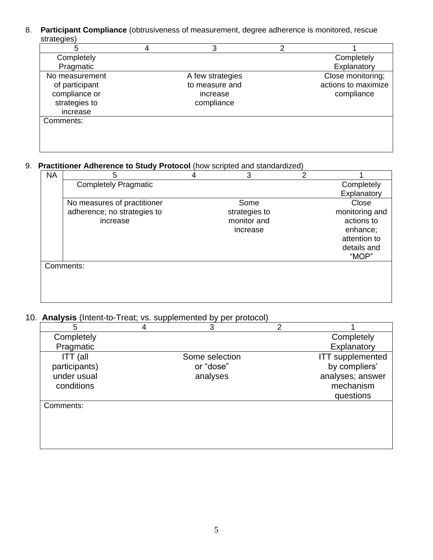8. **Participant Compliance** (obtrusiveness of measurement, degree adherence is monitored, rescue strategies)

| 5              | 3                | າ |                     |
|----------------|------------------|---|---------------------|
| Completely     |                  |   | Completely          |
| Pragmatic      |                  |   | Explanatory         |
| No measurement | A few strategies |   | Close monitoring;   |
| of participant | to measure and   |   | actions to maximize |
| compliance or  | increase         |   | compliance          |
| strategies to  | compliance       |   |                     |
| increase       |                  |   |                     |
| Comments:      |                  |   |                     |
|                |                  |   |                     |
|                |                  |   |                     |
|                |                  |   |                     |

### 9. **Practitioner Adherence to Study Protocol** (how scripted and standardized)

| <b>NA</b> | 5                           | 4 | 3             | 2 |                |
|-----------|-----------------------------|---|---------------|---|----------------|
|           | <b>Completely Pragmatic</b> |   |               |   | Completely     |
|           |                             |   |               |   | Explanatory    |
|           | No measures of practitioner |   | Some          |   | Close          |
|           | adherence; no strategies to |   | strategies to |   | monitoring and |
|           | increase                    |   | monitor and   |   | actions to     |
|           |                             |   | increase      |   | enhance;       |
|           |                             |   |               |   | attention to   |
|           |                             |   |               |   | details and    |
|           |                             |   |               |   | "MOP"          |
|           | Comments:                   |   |               |   |                |
|           |                             |   |               |   |                |
|           |                             |   |               |   |                |
|           |                             |   |               |   |                |
|           |                             |   |               |   |                |

## 10. **Analysis** (Intent-to-Treat; vs. supplemented by per protocol)

| 5             | 4 | 3              | っ |                         |
|---------------|---|----------------|---|-------------------------|
| Completely    |   |                |   | Completely              |
| Pragmatic     |   |                |   | Explanatory             |
| ITT (all      |   | Some selection |   | <b>ITT</b> supplemented |
| participants) |   | or "dose"      |   | by compliers'           |
| under usual   |   | analyses       |   | analyses; answer        |
| conditions    |   |                |   | mechanism               |
|               |   |                |   | questions               |
| Comments:     |   |                |   |                         |
|               |   |                |   |                         |
|               |   |                |   |                         |
|               |   |                |   |                         |
|               |   |                |   |                         |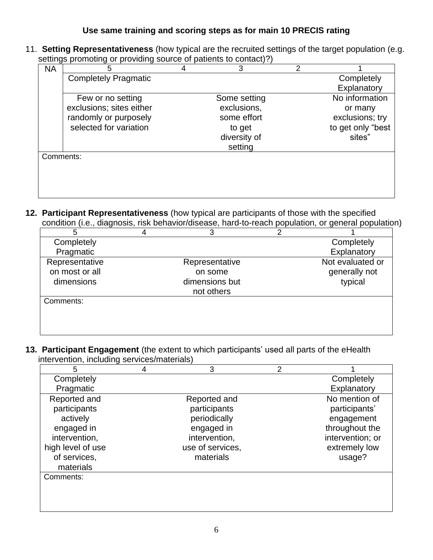## **Use same training and scoring steps as for main 10 PRECIS rating**

11. **Setting Representativeness** (how typical are the recruited settings of the target population (e.g. settings promoting or providing source of patients to contact)?)

| ີປີ<br><b>NA</b> | 5                           | 4 | 3            | 2 |                   |
|------------------|-----------------------------|---|--------------|---|-------------------|
|                  | <b>Completely Pragmatic</b> |   |              |   | Completely        |
|                  |                             |   |              |   | Explanatory       |
|                  | Few or no setting           |   | Some setting |   | No information    |
|                  | exclusions; sites either    |   | exclusions,  |   | or many           |
|                  | randomly or purposely       |   | some effort  |   | exclusions; try   |
|                  | selected for variation      |   | to get       |   | to get only "best |
|                  |                             |   | diversity of |   | sites"            |
|                  |                             |   | setting      |   |                   |
| Comments:        |                             |   |              |   |                   |
|                  |                             |   |              |   |                   |
|                  |                             |   |              |   |                   |
|                  |                             |   |              |   |                   |

**12. Participant Representativeness** (how typical are participants of those with the specified condition (i.e., diagnosis, risk behavior/disease, hard-to-reach population, or general population)

|                | 3              |                  |
|----------------|----------------|------------------|
| Completely     |                | Completely       |
| Pragmatic      |                | Explanatory      |
| Representative | Representative | Not evaluated or |
| on most or all | on some        | generally not    |
| dimensions     | dimensions but | typical          |
|                | not others     |                  |
| Comments:      |                |                  |
|                |                |                  |
|                |                |                  |

**13. Participant Engagement** (the extent to which participants' used all parts of the eHealth intervention, including services/materials)

| 5                 | 4 | 3                | 2 |                  |
|-------------------|---|------------------|---|------------------|
| Completely        |   |                  |   | Completely       |
| Pragmatic         |   |                  |   | Explanatory      |
| Reported and      |   | Reported and     |   | No mention of    |
| participants      |   | participants     |   | participants'    |
| actively          |   | periodically     |   | engagement       |
| engaged in        |   | engaged in       |   | throughout the   |
| intervention,     |   | intervention,    |   | intervention; or |
| high level of use |   | use of services, |   | extremely low    |
| of services,      |   | materials        |   | usage?           |
| materials         |   |                  |   |                  |
| Comments:         |   |                  |   |                  |
|                   |   |                  |   |                  |
|                   |   |                  |   |                  |
|                   |   |                  |   |                  |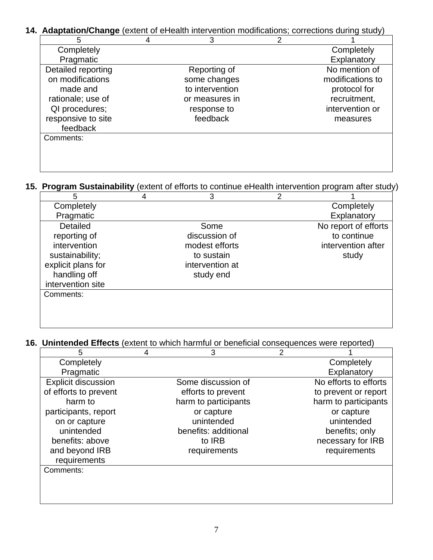# **14. Adaptation/Change** (extent of eHealth intervention modifications; corrections during study)

| 5                  | 3               |                  |
|--------------------|-----------------|------------------|
| Completely         |                 | Completely       |
| Pragmatic          |                 | Explanatory      |
| Detailed reporting | Reporting of    | No mention of    |
| on modifications   | some changes    | modifications to |
| made and           | to intervention | protocol for     |
| rationale; use of  | or measures in  | recruitment,     |
| QI procedures;     | response to     | intervention or  |
| responsive to site | feedback        | measures         |
| feedback           |                 |                  |
| Comments:          |                 |                  |
|                    |                 |                  |
|                    |                 |                  |

## **15. Program Sustainability** (extent of efforts to continue eHealth intervention program after study)

| 5                  | 4 | 3               | 2 |                      |
|--------------------|---|-----------------|---|----------------------|
| Completely         |   |                 |   | Completely           |
| Pragmatic          |   |                 |   | Explanatory          |
| <b>Detailed</b>    |   | Some            |   | No report of efforts |
| reporting of       |   | discussion of   |   | to continue          |
| intervention       |   | modest efforts  |   | intervention after   |
| sustainability;    |   | to sustain      |   | study                |
| explicit plans for |   | intervention at |   |                      |
| handling off       |   | study end       |   |                      |
| intervention site  |   |                 |   |                      |
| Comments:          |   |                 |   |                      |
|                    |   |                 |   |                      |
|                    |   |                 |   |                      |
|                    |   |                 |   |                      |

### **16. Unintended Effects** (extent to which harmful or beneficial consequences were reported)

| 5                          | 4 | 3                    | 2 |                       |
|----------------------------|---|----------------------|---|-----------------------|
| Completely                 |   |                      |   | Completely            |
| Pragmatic                  |   |                      |   | Explanatory           |
| <b>Explicit discussion</b> |   | Some discussion of   |   | No efforts to efforts |
| of efforts to prevent      |   | efforts to prevent   |   | to prevent or report  |
| harm to                    |   | harm to participants |   | harm to participants  |
| participants, report       |   | or capture           |   | or capture            |
| on or capture              |   | unintended           |   | unintended            |
| unintended                 |   | benefits: additional |   | benefits; only        |
| benefits: above            |   | to IRB               |   | necessary for IRB     |
| and beyond IRB             |   | requirements         |   | requirements          |
| requirements               |   |                      |   |                       |
| Comments:                  |   |                      |   |                       |
|                            |   |                      |   |                       |
|                            |   |                      |   |                       |
|                            |   |                      |   |                       |